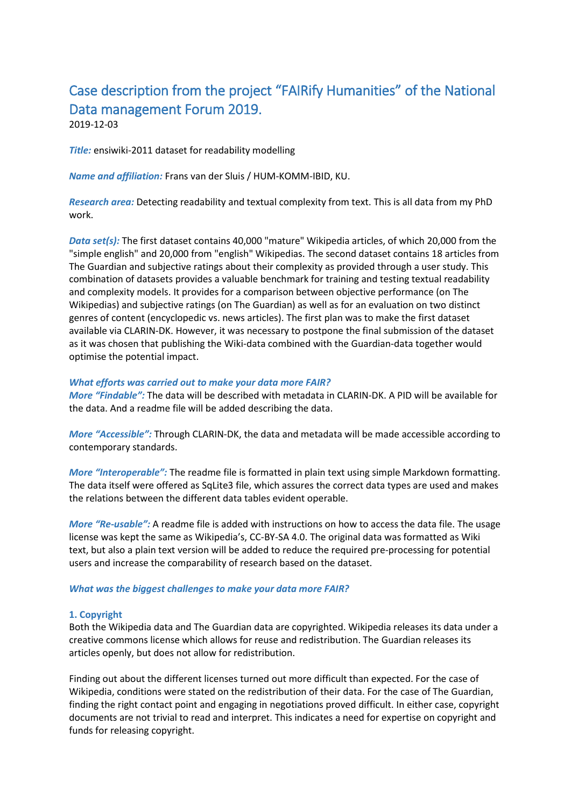# Case description from the project "FAIRify Humanities" of the National Data management Forum 2019.

2019-12-03

*Title:* ensiwiki-2011 dataset for readability modelling

*Name and affiliation:* Frans van der Sluis / HUM-KOMM-IBID, KU.

*Research area:* Detecting readability and textual complexity from text. This is all data from my PhD work.

*Data set(s):* The first dataset contains 40,000 "mature" Wikipedia articles, of which 20,000 from the "simple english" and 20,000 from "english" Wikipedias. The second dataset contains 18 articles from The Guardian and subjective ratings about their complexity as provided through a user study. This combination of datasets provides a valuable benchmark for training and testing textual readability and complexity models. It provides for a comparison between objective performance (on The Wikipedias) and subjective ratings (on The Guardian) as well as for an evaluation on two distinct genres of content (encyclopedic vs. news articles). The first plan was to make the first dataset available via CLARIN-DK. However, it was necessary to postpone the final submission of the dataset as it was chosen that publishing the Wiki-data combined with the Guardian-data together would optimise the potential impact.

## *What efforts was carried out to make your data more FAIR?*

*More "Findable":* The data will be described with metadata in CLARIN-DK. A PID will be available for the data. And a readme file will be added describing the data.

*More "Accessible":* Through CLARIN-DK, the data and metadata will be made accessible according to contemporary standards.

*More "Interoperable":* The readme file is formatted in plain text using simple Markdown formatting. The data itself were offered as SqLite3 file, which assures the correct data types are used and makes the relations between the different data tables evident operable.

*More "Re-usable":* A readme file is added with instructions on how to access the data file. The usage license was kept the same as Wikipedia's, CC-BY-SA 4.0. The original data was formatted as Wiki text, but also a plain text version will be added to reduce the required pre-processing for potential users and increase the comparability of research based on the dataset.

## *What was the biggest challenges to make your data more FAIR?*

## **1. Copyright**

Both the Wikipedia data and The Guardian data are copyrighted. Wikipedia releases its data under a creative commons license which allows for reuse and redistribution. The Guardian releases its articles openly, but does not allow for redistribution.

Finding out about the different licenses turned out more difficult than expected. For the case of Wikipedia, conditions were stated on the redistribution of their data. For the case of The Guardian, finding the right contact point and engaging in negotiations proved difficult. In either case, copyright documents are not trivial to read and interpret. This indicates a need for expertise on copyright and funds for releasing copyright.